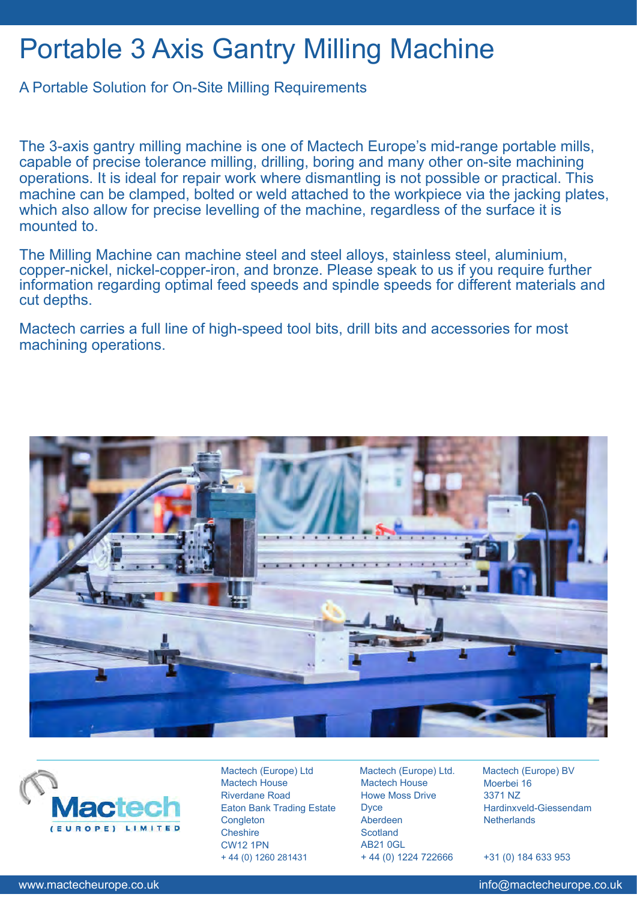## Portable 3 Axis Gantry Milling Machine

## A Portable Solution for On-Site Milling Requirements

The 3-axis gantry milling machine is one of Mactech Europe's mid-range portable mills, capable of precise tolerance milling, drilling, boring and many other on-site machining operations. It is ideal for repair work where dismantling is not possible or practical. This machine can be clamped, bolted or weld attached to the workpiece via the jacking plates, which also allow for precise levelling of the machine, regardless of the surface it is mounted to.

The Milling Machine can machine steel and steel alloys, stainless steel, aluminium, copper-nickel, nickel-copper-iron, and bronze. Please speak to us if you require further information regarding optimal feed speeds and spindle speeds for different materials and cut depths.

Mactech carries a full line of high-speed tool bits, drill bits and accessories for most machining operations.





Mactech (Europe) Ltd Mactech House Riverdane Road Eaton Bank Trading Estate **Congleton Cheshire** CW12 1PN + 44 (0) 1260 281431

Mactech (Europe) Ltd. Mactech House Howe Moss Drive **Dyce** Aberdeen **Scotland** AB21 0GL + 44 (0) 1224 722666

Mactech (Europe) BV Moerbei 16 3371 NZ Hardinxveld-Giessendam **Netherlands** 

+31 (0) 184 633 953